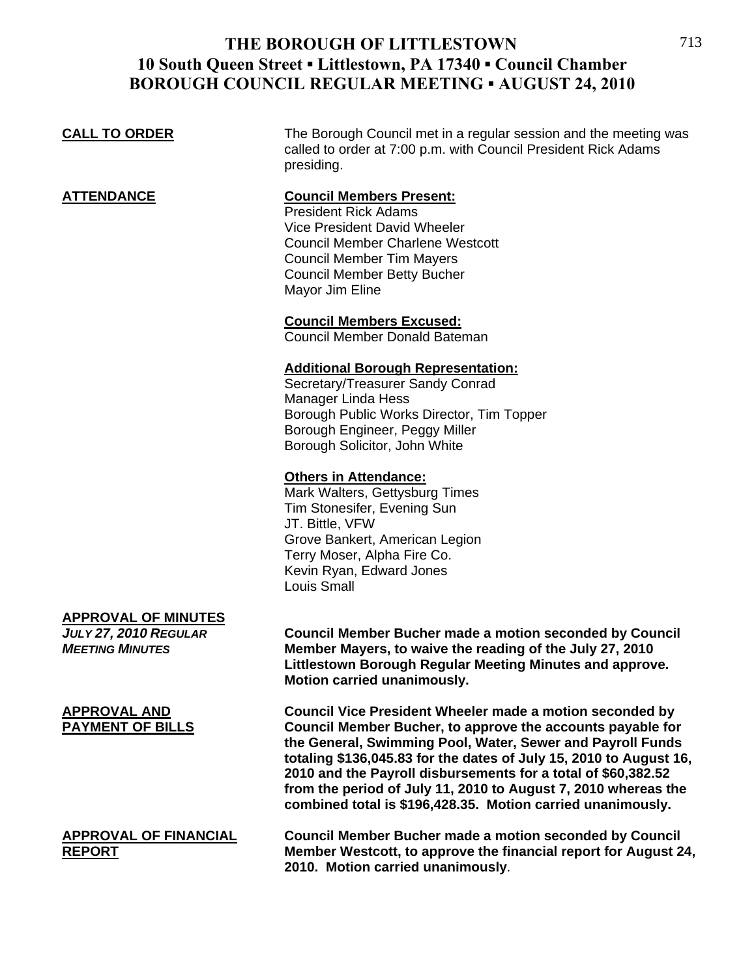### **CALL TO ORDER** The Borough Council met in a regular session and the meeting was called to order at 7:00 p.m. with Council President Rick Adams presiding. **ATTENDANCE Council Members Present:** President Rick Adams Vice President David Wheeler Council Member Charlene Westcott Council Member Tim Mayers Council Member Betty Bucher Mayor Jim Eline **Council Members Excused:** Council Member Donald Bateman **Additional Borough Representation:** Secretary/Treasurer Sandy Conrad Manager Linda Hess Borough Public Works Director, Tim Topper Borough Engineer, Peggy Miller

#### Mark Walters, Gettysburg Times

**Others in Attendance:**

 Tim Stonesifer, Evening Sun JT. Bittle, VFW Grove Bankert, American Legion Terry Moser, Alpha Fire Co. Kevin Ryan, Edward Jones Louis Small

Borough Solicitor, John White

#### **APPROVAL OF MINUTES**

*JULY 27, 2010 REGULAR* **Council Member Bucher made a motion seconded by Council**  *MEETING MINUTES* **Member Mayers, to waive the reading of the July 27, 2010 Littlestown Borough Regular Meeting Minutes and approve. Motion carried unanimously.**

**APPROVAL AND Council Vice President Wheeler made a motion seconded by PAYMENT OF BILLS Council Member Bucher, to approve the accounts payable for the General, Swimming Pool, Water, Sewer and Payroll Funds totaling \$136,045.83 for the dates of July 15, 2010 to August 16, 2010 and the Payroll disbursements for a total of \$60,382.52 from the period of July 11, 2010 to August 7, 2010 whereas the combined total is \$196,428.35. Motion carried unanimously.** 

**APPROVAL OF FINANCIAL Council Member Bucher made a motion seconded by Council REPORT Member Westcott, to approve the financial report for August 24, 2010. Motion carried unanimously**.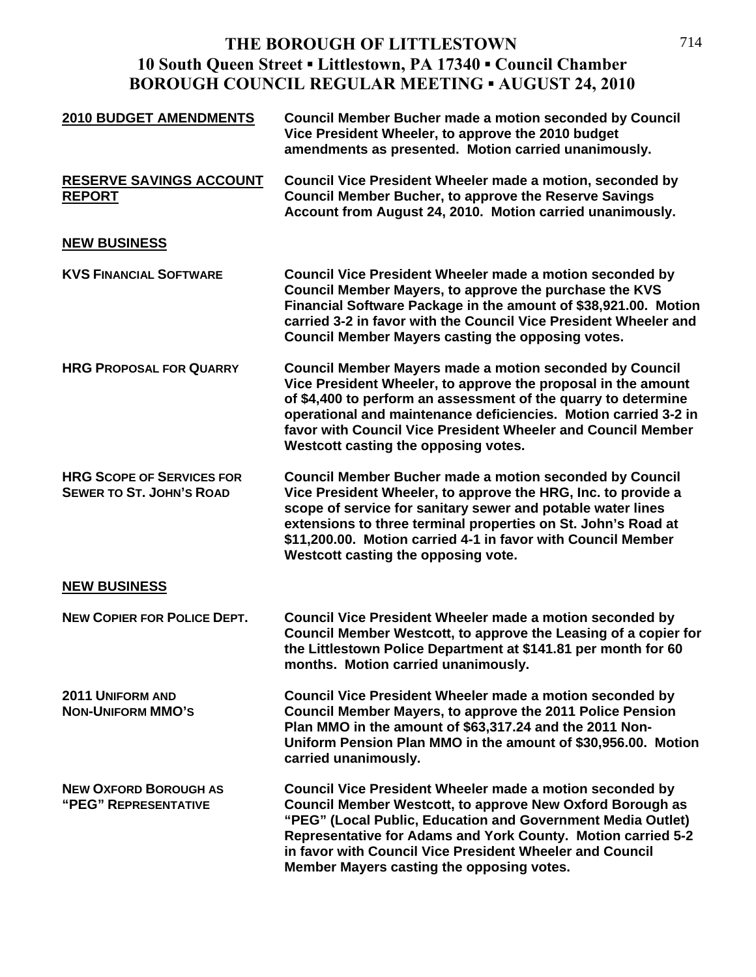| <b>2010 BUDGET AMENDMENTS</b>                                       | <b>Council Member Bucher made a motion seconded by Council</b><br>Vice President Wheeler, to approve the 2010 budget<br>amendments as presented. Motion carried unanimously.                                                                                                                                                                                                 |
|---------------------------------------------------------------------|------------------------------------------------------------------------------------------------------------------------------------------------------------------------------------------------------------------------------------------------------------------------------------------------------------------------------------------------------------------------------|
| <b>RESERVE SAVINGS ACCOUNT</b><br><b>REPORT</b>                     | Council Vice President Wheeler made a motion, seconded by<br><b>Council Member Bucher, to approve the Reserve Savings</b><br>Account from August 24, 2010. Motion carried unanimously.                                                                                                                                                                                       |
| <b>NEW BUSINESS</b>                                                 |                                                                                                                                                                                                                                                                                                                                                                              |
| <b>KVS FINANCIAL SOFTWARE</b>                                       | <b>Council Vice President Wheeler made a motion seconded by</b><br>Council Member Mayers, to approve the purchase the KVS<br>Financial Software Package in the amount of \$38,921.00. Motion<br>carried 3-2 in favor with the Council Vice President Wheeler and<br>Council Member Mayers casting the opposing votes.                                                        |
| <b>HRG PROPOSAL FOR QUARRY</b>                                      | <b>Council Member Mayers made a motion seconded by Council</b><br>Vice President Wheeler, to approve the proposal in the amount<br>of \$4,400 to perform an assessment of the quarry to determine<br>operational and maintenance deficiencies. Motion carried 3-2 in<br>favor with Council Vice President Wheeler and Council Member<br>Westcott casting the opposing votes. |
| <b>HRG SCOPE OF SERVICES FOR</b><br><b>SEWER TO ST. JOHN'S ROAD</b> | <b>Council Member Bucher made a motion seconded by Council</b><br>Vice President Wheeler, to approve the HRG, Inc. to provide a<br>scope of service for sanitary sewer and potable water lines<br>extensions to three terminal properties on St. John's Road at<br>\$11,200.00. Motion carried 4-1 in favor with Council Member<br>Westcott casting the opposing vote.       |
| <b>NEW BUSINESS</b>                                                 |                                                                                                                                                                                                                                                                                                                                                                              |
| <b>NEW COPIER FOR POLICE DEPT.</b>                                  | Council Vice President Wheeler made a motion seconded by<br>Council Member Westcott, to approve the Leasing of a copier for<br>the Littlestown Police Department at \$141.81 per month for 60<br>months. Motion carried unanimously.                                                                                                                                         |
| 2011 UNIFORM AND<br><b>NON-UNIFORM MMO'S</b>                        | Council Vice President Wheeler made a motion seconded by<br>Council Member Mayers, to approve the 2011 Police Pension<br>Plan MMO in the amount of \$63,317.24 and the 2011 Non-<br>Uniform Pension Plan MMO in the amount of \$30,956.00. Motion<br>carried unanimously.                                                                                                    |
| <b>NEW OXFORD BOROUGH AS</b><br>"PEG" REPRESENTATIVE                | Council Vice President Wheeler made a motion seconded by<br>Council Member Westcott, to approve New Oxford Borough as<br>"PEG" (Local Public, Education and Government Media Outlet)<br>Representative for Adams and York County. Motion carried 5-2<br>in favor with Council Vice President Wheeler and Council<br>Member Mayers casting the opposing votes.                |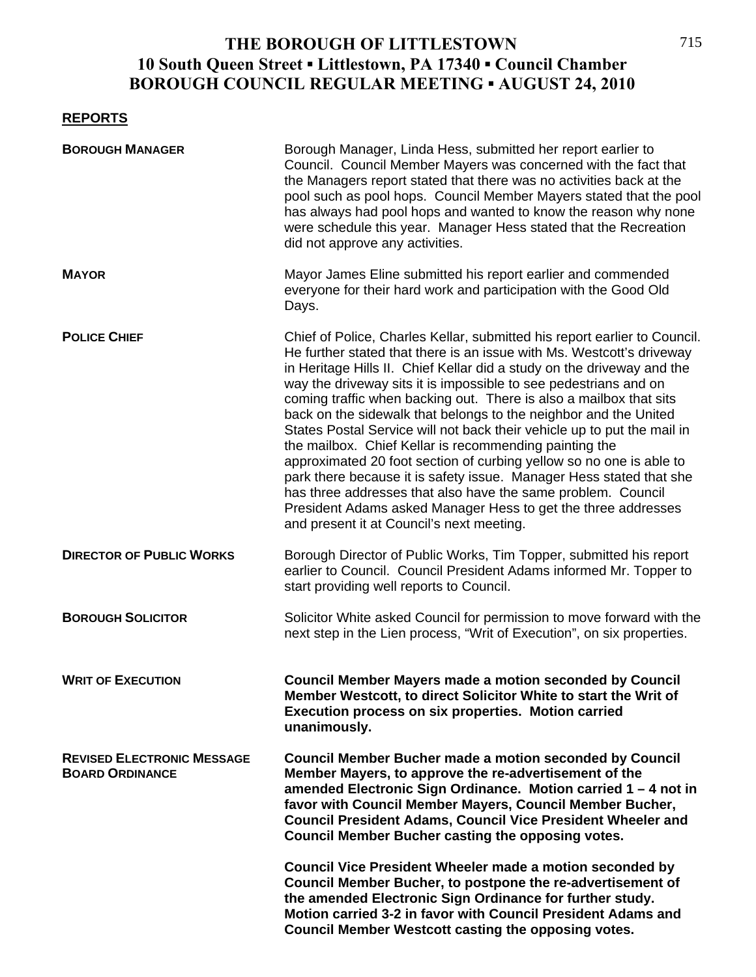### **REPORTS**

| <b>BOROUGH MANAGER</b>                                      | Borough Manager, Linda Hess, submitted her report earlier to<br>Council. Council Member Mayers was concerned with the fact that<br>the Managers report stated that there was no activities back at the<br>pool such as pool hops. Council Member Mayers stated that the pool<br>has always had pool hops and wanted to know the reason why none<br>were schedule this year. Manager Hess stated that the Recreation<br>did not approve any activities.                                                                                                                                                                                                                                                                                                                                                                                                                                                      |
|-------------------------------------------------------------|-------------------------------------------------------------------------------------------------------------------------------------------------------------------------------------------------------------------------------------------------------------------------------------------------------------------------------------------------------------------------------------------------------------------------------------------------------------------------------------------------------------------------------------------------------------------------------------------------------------------------------------------------------------------------------------------------------------------------------------------------------------------------------------------------------------------------------------------------------------------------------------------------------------|
| <b>MAYOR</b>                                                | Mayor James Eline submitted his report earlier and commended<br>everyone for their hard work and participation with the Good Old<br>Days.                                                                                                                                                                                                                                                                                                                                                                                                                                                                                                                                                                                                                                                                                                                                                                   |
| <b>POLICE CHIEF</b>                                         | Chief of Police, Charles Kellar, submitted his report earlier to Council.<br>He further stated that there is an issue with Ms. Westcott's driveway<br>in Heritage Hills II. Chief Kellar did a study on the driveway and the<br>way the driveway sits it is impossible to see pedestrians and on<br>coming traffic when backing out. There is also a mailbox that sits<br>back on the sidewalk that belongs to the neighbor and the United<br>States Postal Service will not back their vehicle up to put the mail in<br>the mailbox. Chief Kellar is recommending painting the<br>approximated 20 foot section of curbing yellow so no one is able to<br>park there because it is safety issue. Manager Hess stated that she<br>has three addresses that also have the same problem. Council<br>President Adams asked Manager Hess to get the three addresses<br>and present it at Council's next meeting. |
| <b>DIRECTOR OF PUBLIC WORKS</b>                             | Borough Director of Public Works, Tim Topper, submitted his report<br>earlier to Council. Council President Adams informed Mr. Topper to<br>start providing well reports to Council.                                                                                                                                                                                                                                                                                                                                                                                                                                                                                                                                                                                                                                                                                                                        |
| <b>BOROUGH SOLICITOR</b>                                    | Solicitor White asked Council for permission to move forward with the<br>next step in the Lien process, "Writ of Execution", on six properties.                                                                                                                                                                                                                                                                                                                                                                                                                                                                                                                                                                                                                                                                                                                                                             |
| <b>WRIT OF EXECUTION</b>                                    | <b>Council Member Mayers made a motion seconded by Council</b><br>Member Westcott, to direct Solicitor White to start the Writ of<br>Execution process on six properties. Motion carried<br>unanimously.                                                                                                                                                                                                                                                                                                                                                                                                                                                                                                                                                                                                                                                                                                    |
| <b>REVISED ELECTRONIC MESSAGE</b><br><b>BOARD ORDINANCE</b> | <b>Council Member Bucher made a motion seconded by Council</b><br>Member Mayers, to approve the re-advertisement of the<br>amended Electronic Sign Ordinance. Motion carried 1 - 4 not in<br>favor with Council Member Mayers, Council Member Bucher,<br><b>Council President Adams, Council Vice President Wheeler and</b><br><b>Council Member Bucher casting the opposing votes.</b>                                                                                                                                                                                                                                                                                                                                                                                                                                                                                                                     |
|                                                             | Council Vice President Wheeler made a motion seconded by<br>Council Member Bucher, to postpone the re-advertisement of<br>the amended Electronic Sign Ordinance for further study.<br>Motion carried 3-2 in favor with Council President Adams and<br>Council Member Westcott casting the opposing votes.                                                                                                                                                                                                                                                                                                                                                                                                                                                                                                                                                                                                   |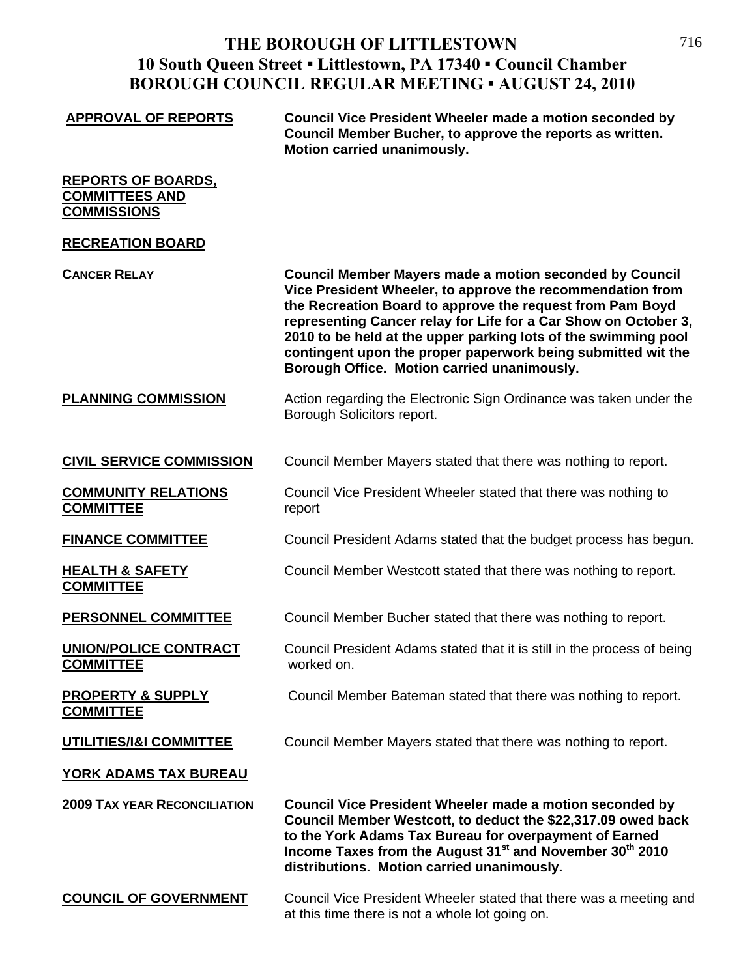| <b>APPROVAL OF REPORTS</b>                                               | Council Vice President Wheeler made a motion seconded by<br>Council Member Bucher, to approve the reports as written.<br>Motion carried unanimously.                                                                                                                                                                                                                                                                                          |
|--------------------------------------------------------------------------|-----------------------------------------------------------------------------------------------------------------------------------------------------------------------------------------------------------------------------------------------------------------------------------------------------------------------------------------------------------------------------------------------------------------------------------------------|
| <b>REPORTS OF BOARDS.</b><br><b>COMMITTEES AND</b><br><b>COMMISSIONS</b> |                                                                                                                                                                                                                                                                                                                                                                                                                                               |
| <b>RECREATION BOARD</b>                                                  |                                                                                                                                                                                                                                                                                                                                                                                                                                               |
| <b>CANCER RELAY</b>                                                      | <b>Council Member Mayers made a motion seconded by Council</b><br>Vice President Wheeler, to approve the recommendation from<br>the Recreation Board to approve the request from Pam Boyd<br>representing Cancer relay for Life for a Car Show on October 3,<br>2010 to be held at the upper parking lots of the swimming pool<br>contingent upon the proper paperwork being submitted wit the<br>Borough Office. Motion carried unanimously. |
| <b>PLANNING COMMISSION</b>                                               | Action regarding the Electronic Sign Ordinance was taken under the<br>Borough Solicitors report.                                                                                                                                                                                                                                                                                                                                              |
| <b>CIVIL SERVICE COMMISSION</b>                                          | Council Member Mayers stated that there was nothing to report.                                                                                                                                                                                                                                                                                                                                                                                |
| <b>COMMUNITY RELATIONS</b><br><b>COMMITTEE</b>                           | Council Vice President Wheeler stated that there was nothing to<br>report                                                                                                                                                                                                                                                                                                                                                                     |
| <b>FINANCE COMMITTEE</b>                                                 | Council President Adams stated that the budget process has begun.                                                                                                                                                                                                                                                                                                                                                                             |
| <b>HEALTH &amp; SAFETY</b><br><b>COMMITTEE</b>                           | Council Member Westcott stated that there was nothing to report.                                                                                                                                                                                                                                                                                                                                                                              |
| PERSONNEL COMMITTEE                                                      | Council Member Bucher stated that there was nothing to report.                                                                                                                                                                                                                                                                                                                                                                                |
| <b>UNION/POLICE CONTRACT</b><br><b>COMMITTEE</b>                         | Council President Adams stated that it is still in the process of being<br>worked on.                                                                                                                                                                                                                                                                                                                                                         |
| <b>PROPERTY &amp; SUPPLY</b><br><b>COMMITTEE</b>                         | Council Member Bateman stated that there was nothing to report.                                                                                                                                                                                                                                                                                                                                                                               |
| UTILITIES/1&I COMMITTEE                                                  | Council Member Mayers stated that there was nothing to report.                                                                                                                                                                                                                                                                                                                                                                                |
| <b>YORK ADAMS TAX BUREAU</b>                                             |                                                                                                                                                                                                                                                                                                                                                                                                                                               |
| <b>2009 TAX YEAR RECONCILIATION</b>                                      | <b>Council Vice President Wheeler made a motion seconded by</b><br>Council Member Westcott, to deduct the \$22,317.09 owed back<br>to the York Adams Tax Bureau for overpayment of Earned<br>Income Taxes from the August 31 <sup>st</sup> and November 30 <sup>th</sup> 2010<br>distributions. Motion carried unanimously.                                                                                                                   |
| <b>COUNCIL OF GOVERNMENT</b>                                             | Council Vice President Wheeler stated that there was a meeting and<br>at this time there is not a whole lot going on.                                                                                                                                                                                                                                                                                                                         |